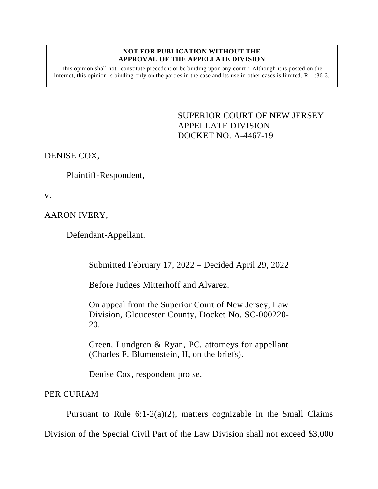## **NOT FOR PUBLICATION WITHOUT THE APPROVAL OF THE APPELLATE DIVISION**

This opinion shall not "constitute precedent or be binding upon any court." Although it is posted on the internet, this opinion is binding only on the parties in the case and its use in other cases is limited. R. 1:36-3.

> <span id="page-0-0"></span>SUPERIOR COURT OF NEW JERSEY APPELLATE DIVISION DOCKET NO. A-4467-19

DENISE COX,

Plaintiff-Respondent,

v.

AARON IVERY,

Defendant-Appellant.

Submitted February 17, 2022 – Decided April 29, 2022

Before Judges Mitterhoff and Alvarez.

On appeal from the Superior Court of New Jersey, Law Division, Gloucester County, Docket No. SC-000220- 20.

Green, Lundgren & Ryan, PC, attorneys for appellant (Charles F. Blumenstein, II, on the briefs).

Denise Cox, respondent pro se.

PER CURIAM

Pursuant to Rule  $6:1-2(a)(2)$ , matters cognizable in the Small Claims

Division of the Special Civil Part of the Law Division shall not exceed \$3,000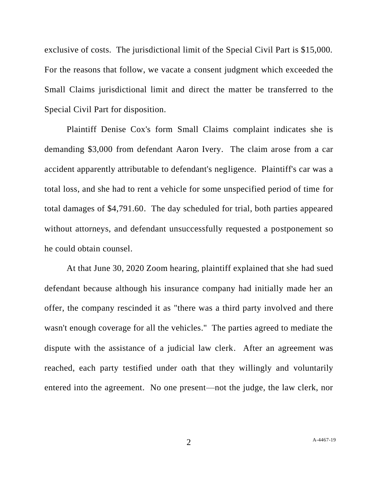exclusive of costs. The jurisdictional limit of the Special Civil Part is \$15,000. For the reasons that follow, we vacate a consent judgment which exceeded the Small Claims jurisdictional limit and direct the matter be transferred to the Special Civil Part for disposition.

Plaintiff Denise Cox's form Small Claims complaint indicates she is demanding \$3,000 from defendant Aaron Ivery. The claim arose from a car accident apparently attributable to defendant's negligence. Plaintiff's car was a total loss, and she had to rent a vehicle for some unspecified period of time for total damages of \$4,791.60. The day scheduled for trial, both parties appeared without attorneys, and defendant unsuccessfully requested a postponement so he could obtain counsel.

At that June 30, 2020 Zoom hearing, plaintiff explained that she had sued defendant because although his insurance company had initially made her an offer, the company rescinded it as "there was a third party involved and there wasn't enough coverage for all the vehicles." The parties agreed to mediate the dispute with the assistance of a judicial law clerk. After an agreement was reached, each party testified under oath that they willingly and voluntarily entered into the agreement. No one present—not the judge, the law clerk, nor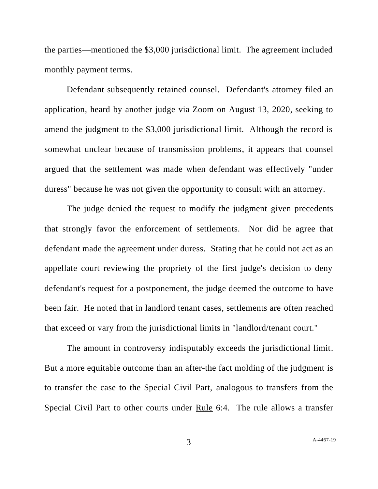the parties—mentioned the \$3,000 jurisdictional limit. The agreement included monthly payment terms.

Defendant subsequently retained counsel. Defendant's attorney filed an application, heard by another judge via Zoom on August 13, 2020, seeking to amend the judgment to the \$3,000 jurisdictional limit. Although the record is somewhat unclear because of transmission problems, it appears that counsel argued that the settlement was made when defendant was effectively "under duress" because he was not given the opportunity to consult with an attorney.

The judge denied the request to modify the judgment given precedents that strongly favor the enforcement of settlements. Nor did he agree that defendant made the agreement under duress. Stating that he could not act as an appellate court reviewing the propriety of the first judge's decision to deny defendant's request for a postponement, the judge deemed the outcome to have been fair. He noted that in landlord tenant cases, settlements are often reached that exceed or vary from the jurisdictional limits in "landlord/tenant court."

The amount in controversy indisputably exceeds the jurisdictional limit. But a more equitable outcome than an after-the fact molding of the judgment is to transfer the case to the Special Civil Part, analogous to transfers from the Special Civil Part to other courts under Rule 6:4. The rule allows a transfer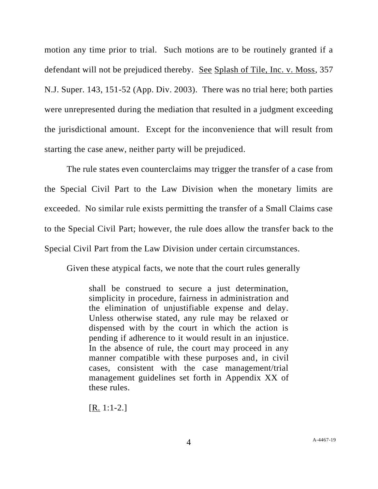motion any time prior to trial. Such motions are to be routinely granted if a defendant will not be prejudiced thereby. See Splash of Tile, Inc. v. Moss, 357 N.J. Super. 143, 151-52 (App. Div. 2003). There was no trial here; both parties were unrepresented during the mediation that resulted in a judgment exceeding the jurisdictional amount. Except for the inconvenience that will result from starting the case anew, neither party will be prejudiced.

The rule states even counterclaims may trigger the transfer of a case from the Special Civil Part to the Law Division when the monetary limits are exceeded. No similar rule exists permitting the transfer of a Small Claims case to the Special Civil Part; however, the rule does allow the transfer back to the Special Civil Part from the Law Division under certain circumstances.

Given these atypical facts, we note that the court rules generally

shall be construed to secure a just determination, simplicity in procedure, fairness in administration and the elimination of unjustifiable expense and delay. Unless otherwise stated, any rule may be relaxed or dispensed with by the court in which the action is pending if adherence to it would result in an injustice. In the absence of rule, the court may proceed in any manner compatible with these purposes and, in civil cases, consistent with the case management/trial management guidelines set forth in Appendix XX of these rules.

[R. 1:1-2.]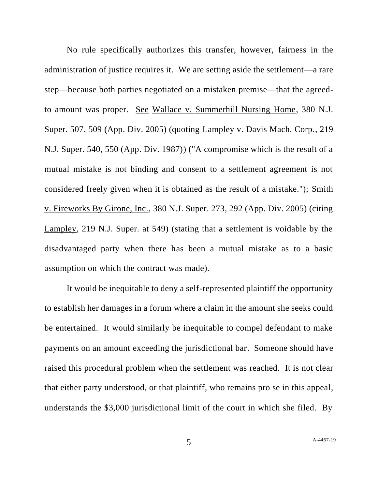No rule specifically authorizes this transfer, however, fairness in the administration of justice requires it. We are setting aside the settlement—a rare step—because both parties negotiated on a mistaken premise—that the agreedto amount was proper. See Wallace v. Summerhill Nursing Home, 380 N.J. Super. 507, 509 (App. Div. 2005) (quoting Lampley v. Davis Mach. Corp., 219 N.J. Super. 540, 550 (App. Div. 1987)) ("A compromise which is the result of a mutual mistake is not binding and consent to a settlement agreement is not considered freely given when it is obtained as the result of a mistake."); Smith v. Fireworks By Girone, Inc., 380 N.J. Super. 273, 292 (App. Div. 2005) (citing Lampley, 219 N.J. Super. at 549) (stating that a settlement is voidable by the disadvantaged party when there has been a mutual mistake as to a basic assumption on which the contract was made).

It would be inequitable to deny a self-represented plaintiff the opportunity to establish her damages in a forum where a claim in the amount she seeks could be entertained. It would similarly be inequitable to compel defendant to make payments on an amount exceeding the jurisdictional bar. Someone should have raised this procedural problem when the settlement was reached. It is not clear that either party understood, or that plaintiff, who remains pro se in this appeal, understands the \$3,000 jurisdictional limit of the court in which she filed. By